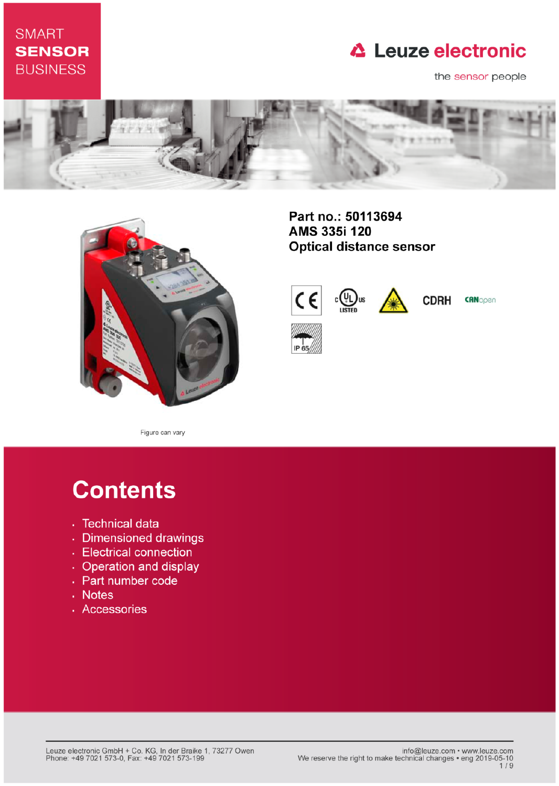## **SMART SENSOR BUSINESS**

## **△ Leuze electronic**

the sensor people





Part no.: 50113694 AMS 335i 120 **Optical distance sensor** 



**CDRH CRNopen** 

Figure can vary

# **Contents**

- · Technical data
- · Dimensioned drawings
- Electrical connection
- Operation and display
- Part number code
- . Notes
- · Accessories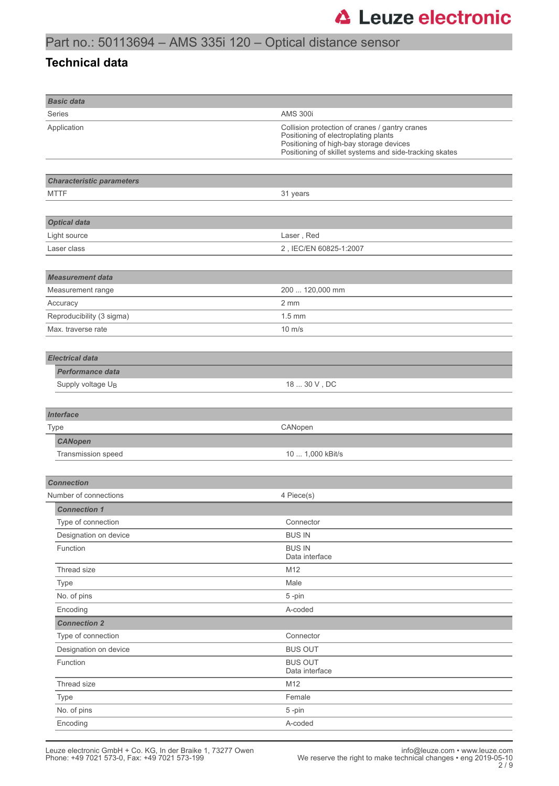### **Technical data**

| <b>Basic data</b>                |                                                                                                                                                                                              |
|----------------------------------|----------------------------------------------------------------------------------------------------------------------------------------------------------------------------------------------|
| Series                           | <b>AMS 300i</b>                                                                                                                                                                              |
| Application                      | Collision protection of cranes / gantry cranes<br>Positioning of electroplating plants<br>Positioning of high-bay storage devices<br>Positioning of skillet systems and side-tracking skates |
|                                  |                                                                                                                                                                                              |
| <b>Characteristic parameters</b> |                                                                                                                                                                                              |
| <b>MTTF</b>                      | 31 years                                                                                                                                                                                     |
|                                  |                                                                                                                                                                                              |
| <b>Optical data</b>              |                                                                                                                                                                                              |
| Light source                     | Laser, Red                                                                                                                                                                                   |
| Laser class                      | 2, IEC/EN 60825-1:2007                                                                                                                                                                       |
|                                  |                                                                                                                                                                                              |
| <b>Measurement data</b>          |                                                                                                                                                                                              |
| Measurement range                | 200  120,000 mm                                                                                                                                                                              |
| Accuracy                         | 2 mm                                                                                                                                                                                         |
| Reproducibility (3 sigma)        | $1.5 \text{ mm}$                                                                                                                                                                             |
| Max. traverse rate               | $10 \text{ m/s}$                                                                                                                                                                             |
|                                  |                                                                                                                                                                                              |
| <b>Electrical data</b>           |                                                                                                                                                                                              |
| <b>Performance data</b>          |                                                                                                                                                                                              |
| Supply voltage UB                | 18  30 V, DC                                                                                                                                                                                 |
|                                  |                                                                                                                                                                                              |
| <b>Interface</b>                 |                                                                                                                                                                                              |
| <b>Type</b>                      | CANopen                                                                                                                                                                                      |
| <b>CANopen</b>                   |                                                                                                                                                                                              |
| Transmission speed               | 10  1,000 kBit/s                                                                                                                                                                             |
|                                  |                                                                                                                                                                                              |
| <b>Connection</b>                |                                                                                                                                                                                              |
| Number of connections            | 4 Piece(s)                                                                                                                                                                                   |
| <b>Connection 1</b>              |                                                                                                                                                                                              |
| Type of connection               | Connector                                                                                                                                                                                    |
| Designation on device            | <b>BUS IN</b>                                                                                                                                                                                |
| Function                         | <b>BUS IN</b><br>Data interface                                                                                                                                                              |
| Thread size                      | M12                                                                                                                                                                                          |
| Type                             | Male                                                                                                                                                                                         |
| No. of pins                      | 5-pin                                                                                                                                                                                        |
| Encoding                         | A-coded                                                                                                                                                                                      |
| <b>Connection 2</b>              |                                                                                                                                                                                              |
| Type of connection               | Connector                                                                                                                                                                                    |
| Designation on device            | <b>BUS OUT</b>                                                                                                                                                                               |
| Function                         | <b>BUS OUT</b><br>Data interface                                                                                                                                                             |
| Thread size                      | M12                                                                                                                                                                                          |
| Type                             | Female                                                                                                                                                                                       |
| No. of pins                      | 5-pin                                                                                                                                                                                        |
| Encoding                         | A-coded                                                                                                                                                                                      |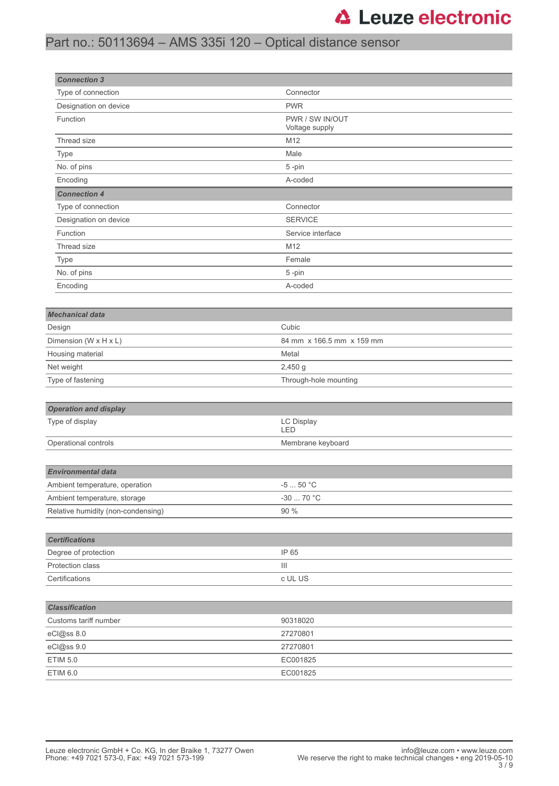## **△ Leuze electronic**

### Part no.: 50113694 – AMS 335i 120 – Optical distance sensor

| <b>Connection 3</b>                |                                   |  |
|------------------------------------|-----------------------------------|--|
| Type of connection                 | Connector                         |  |
| Designation on device              | <b>PWR</b>                        |  |
| Function                           | PWR / SW IN/OUT<br>Voltage supply |  |
| Thread size                        | M12                               |  |
| Type                               | Male                              |  |
| No. of pins                        | 5-pin                             |  |
| Encoding                           | A-coded                           |  |
| <b>Connection 4</b>                |                                   |  |
| Type of connection                 | Connector                         |  |
| Designation on device              | <b>SERVICE</b>                    |  |
| Function                           | Service interface                 |  |
| Thread size                        | M12                               |  |
| Type                               | Female                            |  |
| No. of pins                        | 5-pin                             |  |
| Encoding                           | A-coded                           |  |
|                                    |                                   |  |
| <b>Mechanical data</b>             |                                   |  |
| Design                             | Cubic                             |  |
| Dimension (W x H x L)              | 84 mm x 166.5 mm x 159 mm         |  |
| Housing material                   | Metal                             |  |
| Net weight                         | $2,450$ g                         |  |
| Type of fastening                  | Through-hole mounting             |  |
|                                    |                                   |  |
| <b>Operation and display</b>       |                                   |  |
| Type of display                    | LC Display<br>LED                 |  |
| Operational controls               | Membrane keyboard                 |  |
|                                    |                                   |  |
| <b>Environmental data</b>          |                                   |  |
| Ambient temperature, operation     | $-550 °C$                         |  |
| Ambient temperature, storage       | $-30$ 70 °C                       |  |
| Relative humidity (non-condensing) | 90 %                              |  |
|                                    |                                   |  |
| <b>Certifications</b>              |                                   |  |
| Degree of protection               | IP 65                             |  |
| Protection class                   | Ш                                 |  |
| Certifications                     | c UL US                           |  |
|                                    |                                   |  |
| <b>Classification</b>              |                                   |  |
| Customs tariff number              | 90318020                          |  |
| eCl@ss 8.0                         | 27270801                          |  |
| eCl@ss 9.0                         | 27270801                          |  |
| <b>ETIM 5.0</b>                    | EC001825                          |  |
| ETIM 6.0                           | EC001825                          |  |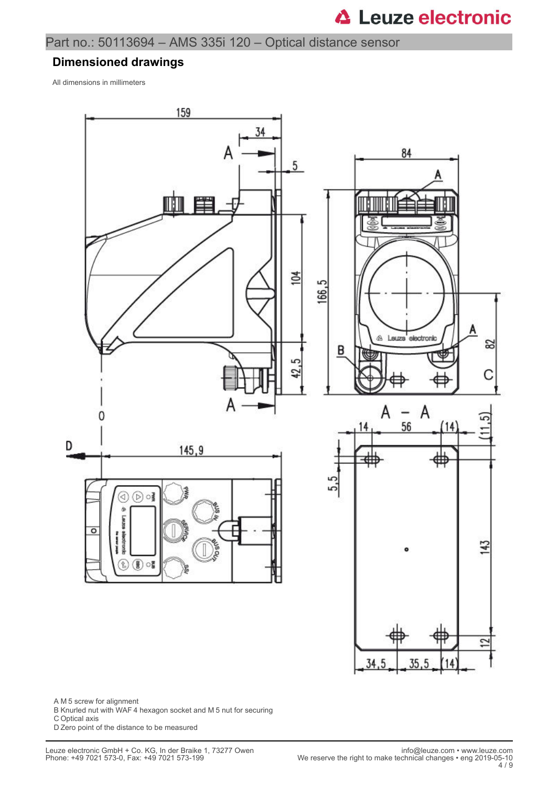#### **Dimensioned drawings**

All dimensions in millimeters



A M 5 screw for alignment

- B Knurled nut with WAF 4 hexagon socket and M 5 nut for securing
- C Optical axis

D Zero point of the distance to be measured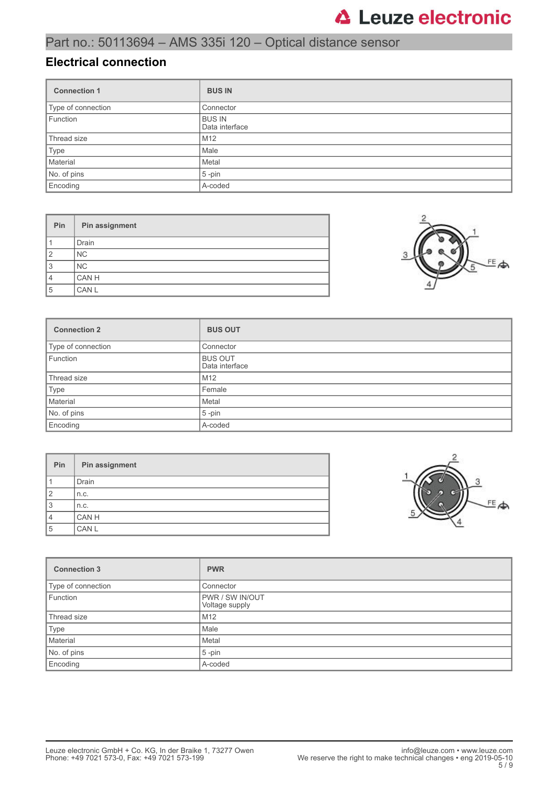### **Electrical connection**

| <b>Connection 1</b> | <b>BUS IN</b>                   |
|---------------------|---------------------------------|
| Type of connection  | Connector                       |
| Function            | <b>BUS IN</b><br>Data interface |
| Thread size         | M <sub>12</sub>                 |
| Type                | Male                            |
| Material            | Metal                           |
| No. of pins         | $5$ -pin                        |
| Encoding            | A-coded                         |

| Pin            | Pin assignment |
|----------------|----------------|
|                | Drain          |
| $\overline{2}$ | <b>NC</b>      |
| 3              | N <sub>C</sub> |
| $\overline{4}$ | CAN H          |
| 5              | CAN L          |



| <b>Connection 2</b> | <b>BUS OUT</b>                   |
|---------------------|----------------------------------|
| Type of connection  | Connector                        |
| Function            | <b>BUS OUT</b><br>Data interface |
| Thread size         | M <sub>12</sub>                  |
| Type                | Female                           |
| Material            | Metal                            |
| No. of pins         | $5$ -pin                         |
| Encoding            | A-coded                          |

| Pin            | Pin assignment |
|----------------|----------------|
|                | <b>Drain</b>   |
| $\overline{2}$ | n.c.           |
| 3              | n.c.           |
| $\overline{4}$ | CAN H          |
| 5              | CAN L          |



| <b>Connection 3</b> | <b>PWR</b>                               |
|---------------------|------------------------------------------|
| Type of connection  | Connector                                |
| Function            | <b>PWR / SW IN/OUT</b><br>Voltage supply |
| Thread size         | M <sub>12</sub>                          |
| Type                | Male                                     |
| Material            | Metal                                    |
| No. of pins         | $5$ -pin                                 |
| Encoding            | A-coded                                  |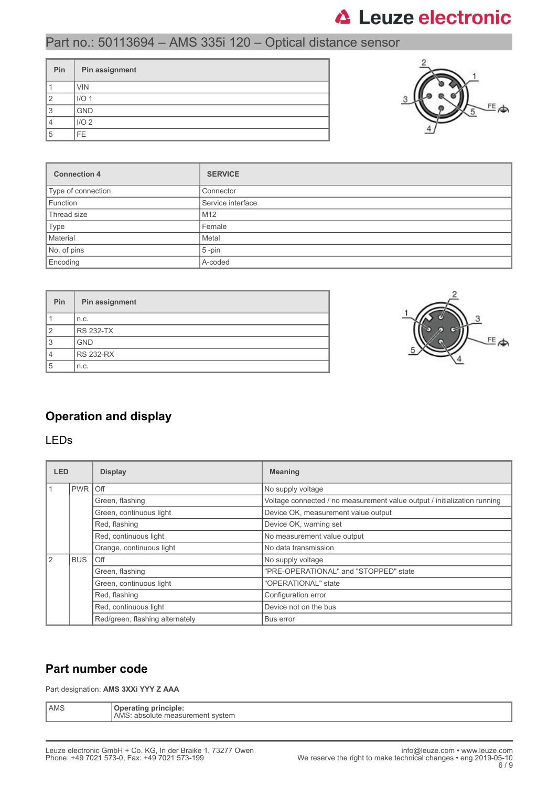## **△ Leuze electronic**

### Part no.: 50113694 – AMS 335i 120 – Optical distance sensor

| Pin | Pin assignment   |
|-----|------------------|
|     | <b>VIN</b>       |
| ◠   | I/O <sub>1</sub> |
| 3   | <b>GND</b>       |
|     | I/O <sub>2</sub> |
| 5   | FE.              |



| <b>Connection 4</b> | <b>SERVICE</b>    |
|---------------------|-------------------|
| Type of connection  | Connector         |
| Function            | Service interface |
| Thread size         | M <sub>12</sub>   |
| Type                | Female            |
| Material            | Metal             |
| No. of pins         | $5$ -pin          |
| Encoding            | A-coded           |

| Pin            | Pin assignment   |
|----------------|------------------|
|                | n.c.             |
| $\overline{2}$ | <b>RS 232-TX</b> |
| 3              | <b>GND</b>       |
|                | <b>RS 232-RX</b> |
| 5              | n.c.             |



### **Operation and display**

### LEDs

| <b>LED</b>    |            | <b>Display</b>                  | <b>Meaning</b>                                                           |
|---------------|------------|---------------------------------|--------------------------------------------------------------------------|
|               | <b>PWR</b> | l Off                           | No supply voltage                                                        |
|               |            | Green, flashing                 | Voltage connected / no measurement value output / initialization running |
|               |            | Green, continuous light         | Device OK, measurement value output                                      |
|               |            | Red, flashing                   | Device OK, warning set                                                   |
|               |            | Red, continuous light           | No measurement value output                                              |
|               |            | Orange, continuous light        | No data transmission                                                     |
| $\mathcal{P}$ | <b>BUS</b> | Off                             | No supply voltage                                                        |
|               |            | Green, flashing                 | "PRE-OPERATIONAL" and "STOPPED" state                                    |
|               |            | Green, continuous light         | "OPERATIONAL" state                                                      |
|               |            | Red, flashing                   | Configuration error                                                      |
|               |            | Red, continuous light           | Device not on the bus                                                    |
|               |            | Red/green, flashing alternately | Bus error                                                                |

### **Part number code**

Part designation: **AMS 3XXi YYY Z AAA**

| AMS | nı<br>™incipie.<br>AMS<br>svstem<br>ans<br>. ните<br>٦Θ.<br>TIE. |
|-----|------------------------------------------------------------------|
|-----|------------------------------------------------------------------|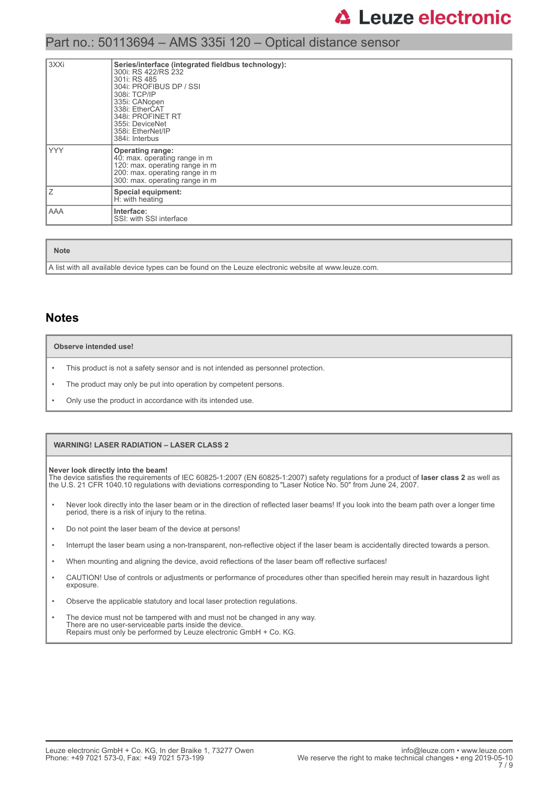| l 3XXi     | Series/interface (integrated fieldbus technology):<br>300i: RS 422/RS 232<br>301i: RS 485<br>304i: PROFIBUS DP / SSI<br>308i: TCP/IP<br>335i: CANopen<br>338i: EtherCAT<br>348i: PROFINET RT<br>355i: DeviceNet<br>358i: EtherNet/IP<br>384i: Interbus |
|------------|--------------------------------------------------------------------------------------------------------------------------------------------------------------------------------------------------------------------------------------------------------|
| <b>YYY</b> | <b>Operating range:</b><br>40: max. operating range in m<br>120: max. operating range in m<br>200: max. operating range in m<br>300: max. operating range in m                                                                                         |
| Ιz         | Special equipment:<br>H: with heating                                                                                                                                                                                                                  |
| <b>AAA</b> | Interface:<br>SSI: with SSI interface                                                                                                                                                                                                                  |

**Note**

A list with all available device types can be found on the Leuze electronic website at www.leuze.com.

### **Notes**

#### **Observe intended use!**

- This product is not a safety sensor and is not intended as personnel protection.
- The product may only be put into operation by competent persons.
- Only use the product in accordance with its intended use.

#### **WARNING! LASER RADIATION – LASER CLASS 2**

**Never look directly into the beam!** The device satisfies the requirements of IEC 60825-1:2007 (EN 60825-1:2007) safety regulations for a product of **laser class 2** as well as the U.S. 21 CFR 1040.10 regulations with deviations corresponding to "Laser Notice No. 50" from June 24, 2007.

- Never look directly into the laser beam or in the direction of reflected laser beams! If you look into the beam path over a longer time period, there is a risk of injury to the retina.
- Do not point the laser beam of the device at persons!
- Interrupt the laser beam using a non-transparent, non-reflective object if the laser beam is accidentally directed towards a person.
- When mounting and aligning the device, avoid reflections of the laser beam off reflective surfaces!
- CAUTION! Use of controls or adjustments or performance of procedures other than specified herein may result in hazardous light exposure.
- Observe the applicable statutory and local laser protection regulations.
- The device must not be tampered with and must not be changed in any way. There are no user-serviceable parts inside the device. Repairs must only be performed by Leuze electronic GmbH + Co. KG.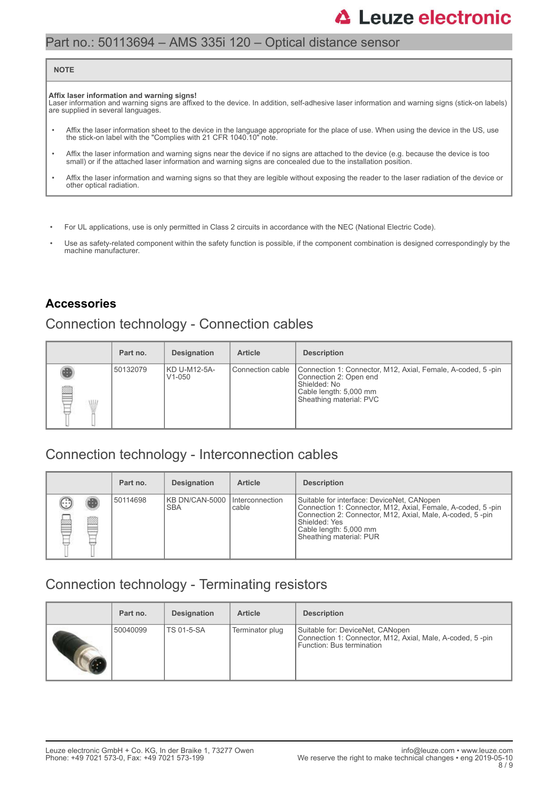## **△ Leuze electronic**

### Part no.: 50113694 – AMS 335i 120 – Optical distance sensor

#### **NOTE**

#### **Affix laser information and warning signs!**

Laser information and warning signs are affixed to the device. In addition, self-adhesive laser information and warning signs (stick-on labels) are supplied in several languages.

- Affix the laser information sheet to the device in the language appropriate for the place of use. When using the device in the US, use the stick-on label with the "Complies with 21 CFR 1040.10" note.
- Affix the laser information and warning signs near the device if no signs are attached to the device (e.g. because the device is too small) or if the attached laser information and warning signs are concealed due to the installation position.
- Affix the laser information and warning signs so that they are legible without exposing the reader to the laser radiation of the device or other optical radiation.
- For UL applications, use is only permitted in Class 2 circuits in accordance with the NEC (National Electric Code).
- Use as safety-related component within the safety function is possible, if the component combination is designed correspondingly by the machine manufacturer.

### **Accessories**

### Connection technology - Connection cables

|                 | Part no. | <b>Designation</b>                  | <b>Article</b>     | <b>Description</b>                                                                                                                                         |
|-----------------|----------|-------------------------------------|--------------------|------------------------------------------------------------------------------------------------------------------------------------------------------------|
| q<br><b>ALL</b> | 50132079 | KD U-M12-5A-<br>V <sub>1</sub> -050 | l Connection cable | Connection 1: Connector, M12, Axial, Female, A-coded, 5-pin<br>Connection 2: Open end<br>Shielded: No<br>Cable length: 5,000 mm<br>Sheathing material: PVC |

### Connection technology - Interconnection cables

|        | Part no. | <b>Designation</b>                            | <b>Article</b> | <b>Description</b>                                                                                                                                                                                                                           |
|--------|----------|-----------------------------------------------|----------------|----------------------------------------------------------------------------------------------------------------------------------------------------------------------------------------------------------------------------------------------|
| œ<br>œ | 50114698 | IKB DN/CAN-5000 Interconnection<br><b>SBA</b> | cable          | Suitable for interface: DeviceNet, CANopen<br>Connection 1: Connector, M12, Axial, Female, A-coded, 5-pin<br>Connection 2: Connector, M12, Axial, Male, A-coded, 5-pin<br>Shielded: Yes<br>Cable length: 5,000 mm<br>Sheathing material: PUR |

### Connection technology - Terminating resistors

| Part no. | <b>Designation</b> | <b>Article</b>  | <b>Description</b>                                                                                                         |
|----------|--------------------|-----------------|----------------------------------------------------------------------------------------------------------------------------|
| 50040099 | <b>TS 01-5-SA</b>  | Terminator plug | Suitable for: DeviceNet, CANopen<br>Connection 1: Connector, M12, Axial, Male, A-coded, 5-pin<br>Function: Bus termination |